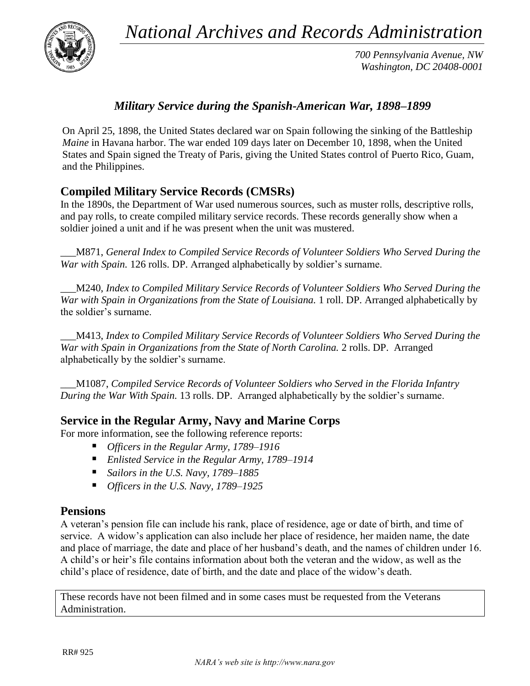*National Archives and Records Administration*



*700 Pennsylvania Avenue, NW Washington, DC 20408-0001*

## *Military Service during the Spanish-American War, 1898–1899*

On April 25, 1898, the United States declared war on Spain following the sinking of the Battleship *Maine* in Havana harbor. The war ended 109 days later on December 10, 1898, when the United States and Spain signed the Treaty of Paris, giving the United States control of Puerto Rico, Guam, and the Philippines.

# **Compiled Military Service Records (CMSRs)**

In the 1890s, the Department of War used numerous sources, such as muster rolls, descriptive rolls, and pay rolls, to create compiled military service records. These records generally show when a soldier joined a unit and if he was present when the unit was mustered.

\_\_\_M871, *General Index to Compiled Service Records of Volunteer Soldiers Who Served During the War with Spain.* 126 rolls. DP. Arranged alphabetically by soldier's surname.

\_\_\_M240, *Index to Compiled Military Service Records of Volunteer Soldiers Who Served During the War with Spain in Organizations from the State of Louisiana.* 1 roll. DP. Arranged alphabetically by the soldier's surname.

\_\_\_M413, *Index to Compiled Military Service Records of Volunteer Soldiers Who Served During the War with Spain in Organizations from the State of North Carolina.* 2 rolls. DP. Arranged alphabetically by the soldier's surname.

\_\_\_M1087, *Compiled Service Records of Volunteer Soldiers who Served in the Florida Infantry During the War With Spain.* 13 rolls. DP.Arranged alphabetically by the soldier's surname.

### **Service in the Regular Army, Navy and Marine Corps**

For more information, see the following reference reports:

- *Officers in the Regular Army, 1789–1916*
- *Enlisted Service in the Regular Army, 1789–1914*
- *Sailors in the U.S. Navy, 1789–1885*
- *Officers in the U.S. Navy, 1789–1925*

### **Pensions**

A veteran's pension file can include his rank, place of residence, age or date of birth, and time of service. A widow's application can also include her place of residence, her maiden name, the date and place of marriage, the date and place of her husband's death, and the names of children under 16. A child's or heir's file contains information about both the veteran and the widow, as well as the child's place of residence, date of birth, and the date and place of the widow's death.

These records have not been filmed and in some cases must be requested from the Veterans Administration.